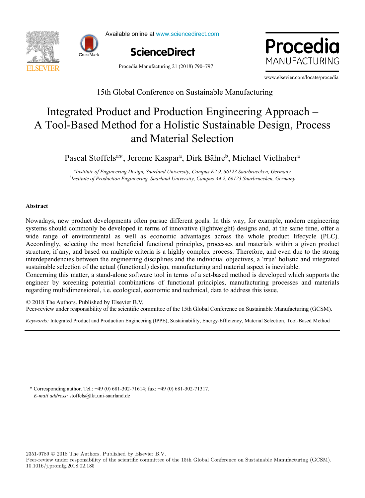



Available online at www.sciencedirect.com



Procedia Manufacturing 21 (2018) 790–797

ww.elsevier.com MANUFACTURING

www.elsevier.com/locate/procedia

## 15th Global Conference on Sustainable Manufacturing 15th Global Conference on Sustainable Manufacturing

# A Tool-Based Method for a Holistic Sustainable Design, Process 2017, Vigo (Pontevedra), Spain Integrated Product and Production Engineering Approach – Integrated Product and Production Engineering Approach – and Material Selection and Material Selection

 $\overline{C}$  models for capacity optimization in Industry  $\overline{C}$  and  $\overline{C}$  in  $\overline{C}$  and  $\overline{C}$  in  $\overline{C}$  in  $\overline{C}$  in  $\overline{C}$  in  $\overline{C}$  in  $\overline{C}$  in  $\overline{C}$  in  $\overline{C}$  in  $\overline{C}$  in  $\overline{C}$  in  $\overline{C}$  Pascal Stoffels<sup>a\*</sup>, Jerome Kaspar<sup>a</sup>, Dirk Bähre<sup>b</sup>, Michael Vielhaber<sup>a</sup>

roduction Engineering, Suuriunu Oniversity, Cumpus A4 2, 00125 Suurbrueck <sup>a</sup> Institute of Engineering Design, Saarland University, Campus E2 9, 66123 Saarbruecken, Germany<br><sup>b</sup>Institute of Production Engineering, Saarland University, Campus 44.2, 66123 Saarbruecken, German anstitute of Engineering Design, Saarland University, Campus E2 9, 66123 Saarbruecken, Germany "<br>httitute of Production Engineering, Saarland University, Campus A4 2, 66123 Saarbruecken, Germany"

 *University of Minho, 4800-058 Guimarães, Portugal b*

## **Abstract Abstract**

systems should commonly be developed in terms of innovative (lightweight) designs and, at the same time, offer a Accordingly, selecting the most beneficial functional principles, processes and materials within a given product structure, if any, and based on multiple criteria is a highly complex process. Therefore, and even due to the strong interdependencies between the engineering disciplines and the individual objectives, a 'true' holistic and integrated Nowadays, new product developments often pursue different goals. In this way, for example, modern engineering Nowadays, new product developments often pursue different goals. In this way, for example, modern engineering wide range of environmental as well as economic advantages across the whole product lifecycle (PLC). wide range of environmental as well as economic advantages across the whole product lifecycle (PLC). sustainable selection of the actual (functional) design, manufacturing and material aspect is inevitable. sustainable selection of the actual (functional) design, manufacturing and material aspect is inevitable.

Concerning this matter, a stand-alone software tool in terms of a set-based method is developed which supports the equinosity as matter, a stand-atone software tool in terms of a set-based include is developed which supports the engineer by screening potential combinations of functional principles, manufacturing processes and materials contributions from both the processes and the processes and theoretical perspectives and the processes and materials regarding multidimensional, i.e. ecological, economic and technical, data to address this issue.

© 2018 The Authors. Published by Elsevier B.V.

Peer-review under responsibility of the scientific committee of the 15th Global Conference on Sustainable Manufacturing (GCSM).

Keywords: Integrated Product and Production Engineering (IPPE), Sustainability, Energy-Efficiency, Material Selection, Tool-Based Method

The cost of idle capacity is a fundamental information for companies and their management of extreme importance *E-mail address:* stoffels@lkt.uni-saarland.de *E-mail address:* stoffels@lkt.uni-saarland.de \* Corresponding author. Tel.: +49 (0) 681-302-71614; fax: +49 (0) 681-302-71317. \* Corresponding author. Tel.: +49 (0) 681-302-71614; fax: +49 (0) 681-302-71317.

*a*

2351-9789 © 2018 The Authors. Published by Elsevier B.V.

Peer-review under responsibility of the scientific committee of the 15th Global Conference on Sustainable Manufacturing (GCSM). 10.1016/j.promfg.2018.02.185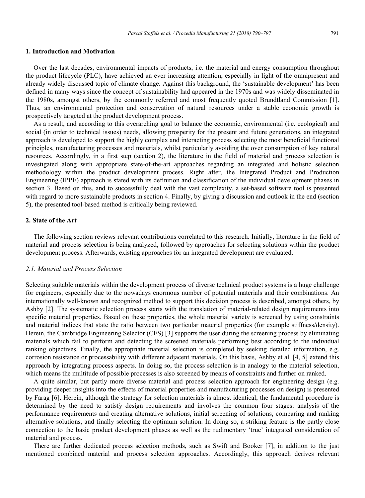#### **1. Introduction and Motivation**

Over the last decades, environmental impacts of products, i.e. the material and energy consumption throughout the product lifecycle (PLC), have achieved an ever increasing attention, especially in light of the omnipresent and already widely discussed topic of climate change. Against this background, the 'sustainable development' has been defined in many ways since the concept of sustainability had appeared in the 1970s and was widely disseminated in the 1980s, amongst others, by the commonly referred and most frequently quoted Brundtland Commission [1]. Thus, an environmental protection and conservation of natural resources under a stable economic growth is prospectively targeted at the product development process.

As a result, and according to this overarching goal to balance the economic, environmental (i.e. ecological) and social (in order to technical issues) needs, allowing prosperity for the present and future generations, an integrated approach is developed to support the highly complex and interacting process selecting the most beneficial functional principles, manufacturing processes and materials, whilst particularly avoiding the over consumption of key natural resources. Accordingly, in a first step (section 2), the literature in the field of material and process selection is investigated along with appropriate state-of-the-art approaches regarding an integrated and holistic selection methodology within the product development process. Right after, the Integrated Product and Production Engineering (IPPE) approach is stated with its definition and classification of the individual development phases in section 3. Based on this, and to successfully deal with the vast complexity, a set-based software tool is presented with regard to more sustainable products in section 4. Finally, by giving a discussion and outlook in the end (section 5), the presented tool-based method is critically being reviewed.

#### **2. State of the Art**

The following section reviews relevant contributions correlated to this research. Initially, literature in the field of material and process selection is being analyzed, followed by approaches for selecting solutions within the product development process. Afterwards, existing approaches for an integrated development are evaluated.

### *2.1. Material and Process Selection*

Selecting suitable materials within the development process of diverse technical product systems is a huge challenge for engineers, especially due to the nowadays enormous number of potential materials and their combinations. An internationally well-known and recognized method to support this decision process is described, amongst others, by Ashby [2]. The systematic selection process starts with the translation of material-related design requirements into specific material properties. Based on these properties, the whole material variety is screened by using constraints and material indices that state the ratio between two particular material properties (for example stiffness/density). Herein, the Cambridge Engineering Selector (CES) [3] supports the user during the screening process by eliminating materials which fail to perform and detecting the screened materials performing best according to the individual ranking objectives. Finally, the appropriate material selection is completed by seeking detailed information, e.g. corrosion resistance or processability with different adjacent materials. On this basis, Ashby et al. [4, 5] extend this approach by integrating process aspects. In doing so, the process selection is in analogy to the material selection, which means the multitude of possible processes is also screened by means of constraints and further on ranked.

A quite similar, but partly more diverse material and process selection approach for engineering design (e.g. providing deeper insights into the effects of material properties and manufacturing processes on design) is presented by Farag [6]. Herein, although the strategy for selection materials is almost identical, the fundamental procedure is determined by the need to satisfy design requirements and involves the common four stages: analysis of the performance requirements and creating alternative solutions, initial screening of solutions, comparing and ranking alternative solutions, and finally selecting the optimum solution. In doing so, a striking feature is the partly close connection to the basic product development phases as well as the rudimentary 'true' integrated consideration of material and process.

There are further dedicated process selection methods, such as Swift and Booker [7], in addition to the just mentioned combined material and process selection approaches. Accordingly, this approach derives relevant